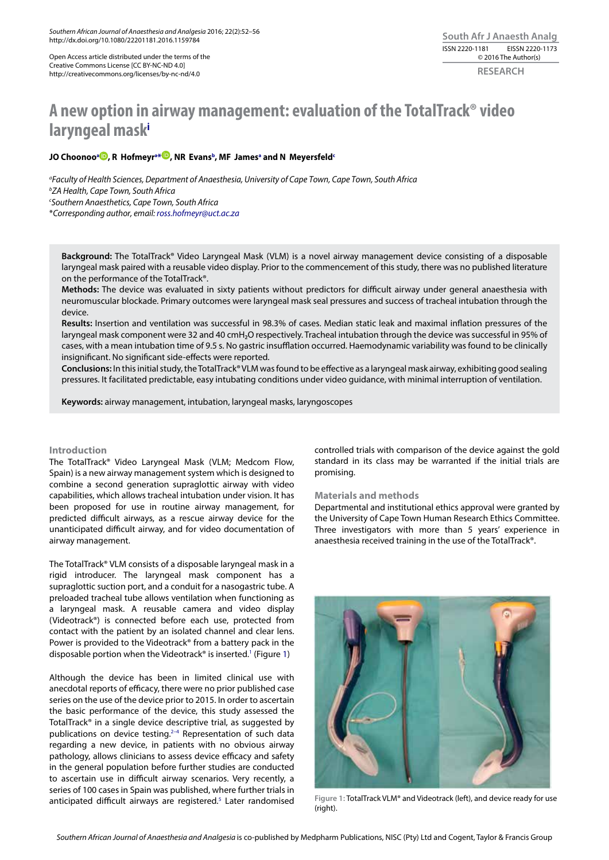Open Access article distributed under the terms of the Creative Commons License [CC BY-NC-ND 4.0] http://creativecommons.org/licenses/by-nc-nd/4.0

**RESEARCH**

# **A new option in airway management: evaluation of the TotalTrack® video laryngeal maski**

# **JO Choonoo<sup>a</sup>D, R Hofmeyr<sup>a\*</sup>D, NR Evans<sup>b</sup>, MF James<sup>a</sup> and N Meyersfeld<sup>c</sup>**

*a Faculty of Health Sciences, Department of Anaesthesia, University of Cape Town, Cape Town, South Africa b ZA Health, Cape Town, South Africa c Southern Anaesthetics, Cape Town, South Africa* \**Corresponding author, email: ross.hofmeyr@uct.ac.za*

**Background:** The TotalTrack® Video Laryngeal Mask (VLM) is a novel airway management device consisting of a disposable laryngeal mask paired with a reusable video display. Prior to the commencement of this study, there was no published literature on the performance of the TotalTrack®.

**Methods:** The device was evaluated in sixty patients without predictors for difficult airway under general anaesthesia with neuromuscular blockade. Primary outcomes were laryngeal mask seal pressures and success of tracheal intubation through the device.

**Results:** Insertion and ventilation was successful in 98.3% of cases. Median static leak and maximal inflation pressures of the laryngeal mask component were 32 and 40 cmH<sub>2</sub>O respectively. Tracheal intubation through the device was successful in 95% of cases, with a mean intubation time of 9.5 s. No gastric insufflation occurred. Haemodynamic variability was found to be clinically insignificant. No significant side-effects were reported.

**Conclusions:** In this initial study, the TotalTrack® VLM was found to be effective as a laryngeal mask airway, exhibiting good sealing pressures. It facilitated predictable, easy intubating conditions under video guidance, with minimal interruption of ventilation.

**Keywords:** airway management, intubation, laryngeal masks, laryngoscopes

## **Introduction**

The TotalTrack® Video Laryngeal Mask (VLM; Medcom Flow, Spain) is a new airway management system which is designed to combine a second generation supraglottic airway with video capabilities, which allows tracheal intubation under vision. It has been proposed for use in routine airway management, for predicted difficult airways, as a rescue airway device for the unanticipated difficult airway, and for video documentation of airway management.

The TotalTrack® VLM consists of a disposable laryngeal mask in a rigid introducer. The laryngeal mask component has a supraglottic suction port, and a conduit for a nasogastric tube. A preloaded tracheal tube allows ventilation when functioning as a laryngeal mask. A reusable camera and video display (Videotrack®) is connected before each use, protected from contact with the patient by an isolated channel and clear lens. Power is provided to the Videotrack® from a battery pack in the disposable portion when the Videotrack® is inserted.<sup>1</sup> (Figure 1)

Although the device has been in limited clinical use with anecdotal reports of efficacy, there were no prior published case series on the use of the device prior to 2015. In order to ascertain the basic performance of the device, this study assessed the TotalTrack® in a single device descriptive trial, as suggested by publications on device testing. $2-4$  Representation of such data regarding a new device, in patients with no obvious airway pathology, allows clinicians to assess device efficacy and safety in the general population before further studies are conducted to ascertain use in difficult airway scenarios. Very recently, a series of 100 cases in Spain was published, where further trials in anticipated difficult airways are registered.<sup>5</sup> Later randomised controlled trials with comparison of the device against the gold standard in its class may be warranted if the initial trials are promising.

# **Materials and methods**

Departmental and institutional ethics approval were granted by the University of Cape Town Human Research Ethics Committee. Three investigators with more than 5 years' experience in anaesthesia received training in the use of the TotalTrack®.



**Figure 1:** TotalTrack VLM® and Videotrack (left), and device ready for use (right).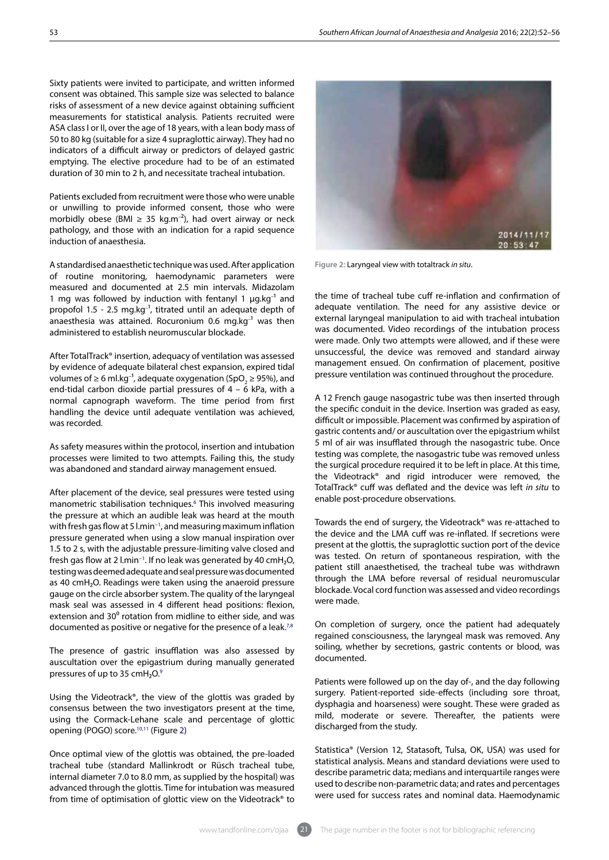Sixty patients were invited to participate, and written informed consent was obtained. This sample size was selected to balance risks of assessment of a new device against obtaining sufficient measurements for statistical analysis. Patients recruited were ASA class I or II, over the age of 18 years, with a lean body mass of 50 to 80 kg (suitable for a size 4 supraglottic airway). They had no indicators of a difficult airway or predictors of delayed gastric emptying. The elective procedure had to be of an estimated duration of 30 min to 2 h, and necessitate tracheal intubation.

Patients excluded from recruitment were those who were unable or unwilling to provide informed consent, those who were morbidly obese (BMI  $\geq 35$  kg.m<sup>-2</sup>), had overt airway or neck pathology, and those with an indication for a rapid sequence induction of anaesthesia.

A standardised anaesthetic technique was used. After application of routine monitoring, haemodynamic parameters were measured and documented at 2.5 min intervals. Midazolam 1 mg was followed by induction with fentanyl 1  $\mu$ g.kg<sup>-1</sup> and propofol 1.5 - 2.5 mg.kg<sup>-1</sup>, titrated until an adequate depth of anaesthesia was attained. Rocuronium 0.6 mg.kg<sup>-1</sup> was then administered to establish neuromuscular blockade.

After TotalTrack® insertion, adequacy of ventilation was assessed by evidence of adequate bilateral chest expansion, expired tidal volumes of ≥ 6 ml.kg<sup>-1</sup>, adequate oxygenation (SpO<sub>2</sub> ≥ 95%), and end-tidal carbon dioxide partial pressures of  $4 - 6$  kPa, with a normal capnograph waveform. The time period from first handling the device until adequate ventilation was achieved, was recorded.

As safety measures within the protocol, insertion and intubation processes were limited to two attempts. Failing this, the study was abandoned and standard airway management ensued.

After placement of the device, seal pressures were tested using manometric stabilisation techniques.6 This involved measuring the pressure at which an audible leak was heard at the mouth with fresh gas flow at 5 l.min−1, and measuring maximum inflation pressure generated when using a slow manual inspiration over 1.5 to 2 s, with the adjustable pressure-limiting valve closed and fresh gas flow at 2 l.min−1. If no leak was generated by 40 cmH₂O, testing was deemed adequate and seal pressure was documented as 40 cmH<sub>2</sub>O. Readings were taken using the anaeroid pressure gauge on the circle absorber system. The quality of the laryngeal mask seal was assessed in 4 different head positions: flexion, extension and 30<sup>°</sup> rotation from midline to either side, and was documented as positive or negative for the presence of a leak.<sup>7,8</sup>

The presence of gastric insufflation was also assessed by auscultation over the epigastrium during manually generated pressures of up to 35 cmH<sub>2</sub>O.<sup>9</sup>

Using the Videotrack®, the view of the glottis was graded by consensus between the two investigators present at the time, using the Cormack-Lehane scale and percentage of glottic opening (POGO) score.<sup>10,11</sup> (Figure 2)

Once optimal view of the glottis was obtained, the pre-loaded tracheal tube (standard Mallinkrodt or Rüsch tracheal tube, internal diameter 7.0 to 8.0 mm, as supplied by the hospital) was advanced through the glottis. Time for intubation was measured from time of optimisation of glottic view on the Videotrack® to



**Figure 2:** Laryngeal view with totaltrack *in situ*.

the time of tracheal tube cuff re-inflation and confirmation of adequate ventilation. The need for any assistive device or external laryngeal manipulation to aid with tracheal intubation was documented. Video recordings of the intubation process were made. Only two attempts were allowed, and if these were unsuccessful, the device was removed and standard airway management ensued. On confirmation of placement, positive pressure ventilation was continued throughout the procedure.

A 12 French gauge nasogastric tube was then inserted through the specific conduit in the device. Insertion was graded as easy, difficult or impossible. Placement was confirmed by aspiration of gastric contents and/ or auscultation over the epigastrium whilst 5 ml of air was insufflated through the nasogastric tube. Once testing was complete, the nasogastric tube was removed unless the surgical procedure required it to be left in place. At this time, the Videotrack® and rigid introducer were removed, the TotalTrack® cuff was deflated and the device was left *in situ* to enable post-procedure observations.

Towards the end of surgery, the Videotrack® was re-attached to the device and the LMA cuff was re-inflated. If secretions were present at the glottis, the supraglottic suction port of the device was tested. On return of spontaneous respiration, with the patient still anaesthetised, the tracheal tube was withdrawn through the LMA before reversal of residual neuromuscular blockade. Vocal cord function was assessed and video recordings were made.

On completion of surgery, once the patient had adequately regained consciousness, the laryngeal mask was removed. Any soiling, whether by secretions, gastric contents or blood, was documented.

Patients were followed up on the day of-, and the day following surgery. Patient-reported side-effects (including sore throat, dysphagia and hoarseness) were sought. These were graded as mild, moderate or severe. Thereafter, the patients were discharged from the study.

Statistica® (Version 12, Statasoft, Tulsa, OK, USA) was used for statistical analysis. Means and standard deviations were used to describe parametric data; medians and interquartile ranges were used to describe non-parametric data; and rates and percentages were used for success rates and nominal data. Haemodynamic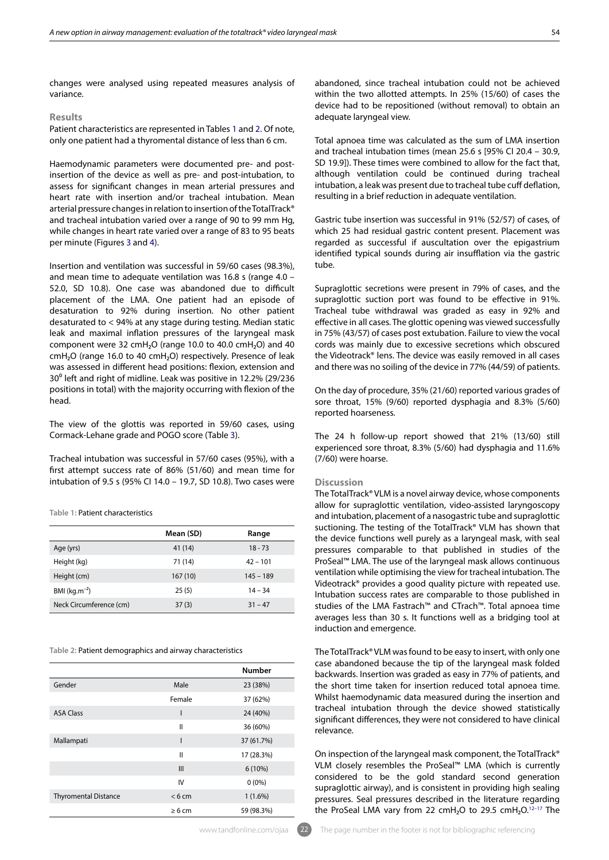changes were analysed using repeated measures analysis of variance.

### **Results**

Patient characteristics are represented in Tables 1 and 2. Of note, only one patient had a thyromental distance of less than 6 cm.

Haemodynamic parameters were documented pre- and postinsertion of the device as well as pre- and post-intubation, to assess for significant changes in mean arterial pressures and heart rate with insertion and/or tracheal intubation. Mean arterial pressure changes in relation to insertion of the TotalTrack® and tracheal intubation varied over a range of 90 to 99 mm Hg, while changes in heart rate varied over a range of 83 to 95 beats per minute (Figures 3 and 4).

Insertion and ventilation was successful in 59/60 cases (98.3%), and mean time to adequate ventilation was 16.8 s (range 4.0 – 52.0, SD 10.8). One case was abandoned due to difficult placement of the LMA. One patient had an episode of desaturation to 92% during insertion. No other patient desaturated to < 94% at any stage during testing. Median static leak and maximal inflation pressures of the laryngeal mask component were 32 cmH<sub>2</sub>O (range 10.0 to 40.0 cmH<sub>2</sub>O) and 40 cmH<sub>2</sub>O (range 16.0 to 40 cmH<sub>2</sub>O) respectively. Presence of leak was assessed in different head positions: flexion, extension and 30⁰ left and right of midline. Leak was positive in 12.2% (29/236 positions in total) with the majority occurring with flexion of the head.

The view of the glottis was reported in 59/60 cases, using Cormack-Lehane grade and POGO score (Table 3).

Tracheal intubation was successful in 57/60 cases (95%), with a first attempt success rate of 86% (51/60) and mean time for intubation of 9.5 s (95% CI 14.0 – 19.7, SD 10.8). Two cases were

**Table 1:** Patient characteristics

|                         | Mean (SD) | Range       |
|-------------------------|-----------|-------------|
| Age (yrs)               | 41 (14)   | $18 - 73$   |
| Height (kg)             | 71 (14)   | $42 - 101$  |
| Height (cm)             | 167(10)   | $145 - 189$ |
| $BMl (kg.m^{-2})$       | 25(5)     | $14 - 34$   |
| Neck Circumference (cm) | 37(3)     | $31 - 47$   |

**Table 2:** Patient demographics and airway characteristics

|                             |              | <b>Number</b> |
|-----------------------------|--------------|---------------|
| Gender                      | Male         | 23 (38%)      |
|                             | Female       | 37 (62%)      |
| <b>ASA Class</b>            | $\mathsf{I}$ | 24 (40%)      |
|                             | $\mathbf{I}$ | 36 (60%)      |
| Mallampati                  | I            | 37 (61.7%)    |
|                             | $\mathbf{I}$ | 17 (28.3%)    |
|                             | III          | $6(10\%)$     |
|                             | IV           | $0(0\%)$      |
| <b>Thyromental Distance</b> | < 6 cm       | $1(1.6\%)$    |
|                             | $\geq 6$ cm  | 59 (98.3%)    |

sore throat, 15% (9/60) reported dysphagia and 8.3% (5/60) reported hoarseness.

The 24 h follow-up report showed that 21% (13/60) still experienced sore throat, 8.3% (5/60) had dysphagia and 11.6% (7/60) were hoarse.

On the day of procedure, 35% (21/60) reported various grades of

abandoned, since tracheal intubation could not be achieved within the two allotted attempts. In 25% (15/60) of cases the device had to be repositioned (without removal) to obtain an

Total apnoea time was calculated as the sum of LMA insertion and tracheal intubation times (mean 25.6 s [95% CI 20.4 – 30.9, SD 19.9]). These times were combined to allow for the fact that, although ventilation could be continued during tracheal intubation, a leak was present due to tracheal tube cuff deflation,

Gastric tube insertion was successful in 91% (52/57) of cases, of which 25 had residual gastric content present. Placement was regarded as successful if auscultation over the epigastrium identified typical sounds during air insufflation via the gastric

Supraglottic secretions were present in 79% of cases, and the supraglottic suction port was found to be effective in 91%. Tracheal tube withdrawal was graded as easy in 92% and effective in all cases. The glottic opening was viewed successfully in 75% (43/57) of cases post extubation. Failure to view the vocal cords was mainly due to excessive secretions which obscured the Videotrack® lens. The device was easily removed in all cases and there was no soiling of the device in 77% (44/59) of patients.

resulting in a brief reduction in adequate ventilation.

adequate laryngeal view.

#### **Discussion**

tube.

The TotalTrack® VLM is a novel airway device, whose components allow for supraglottic ventilation, video-assisted laryngoscopy and intubation, placement of a nasogastric tube and supraglottic suctioning. The testing of the TotalTrack® VLM has shown that the device functions well purely as a laryngeal mask, with seal pressures comparable to that published in studies of the ProSeal™ LMA. The use of the laryngeal mask allows continuous ventilation while optimising the view for tracheal intubation. The Videotrack® provides a good quality picture with repeated use. Intubation success rates are comparable to those published in studies of the LMA Fastrach™ and CTrach™. Total apnoea time averages less than 30 s. It functions well as a bridging tool at induction and emergence.

The TotalTrack® VLM was found to be easy to insert, with only one case abandoned because the tip of the laryngeal mask folded backwards. Insertion was graded as easy in 77% of patients, and the short time taken for insertion reduced total apnoea time. Whilst haemodynamic data measured during the insertion and tracheal intubation through the device showed statistically significant differences, they were not considered to have clinical relevance.

On inspection of the laryngeal mask component, the TotalTrack® VLM closely resembles the ProSeal™ LMA (which is currently considered to be the gold standard second generation supraglottic airway), and is consistent in providing high sealing pressures. Seal pressures described in the literature regarding the ProSeal LMA vary from 22 cmH<sub>2</sub>O to 29.5 cmH<sub>2</sub>O.<sup>12-17</sup> The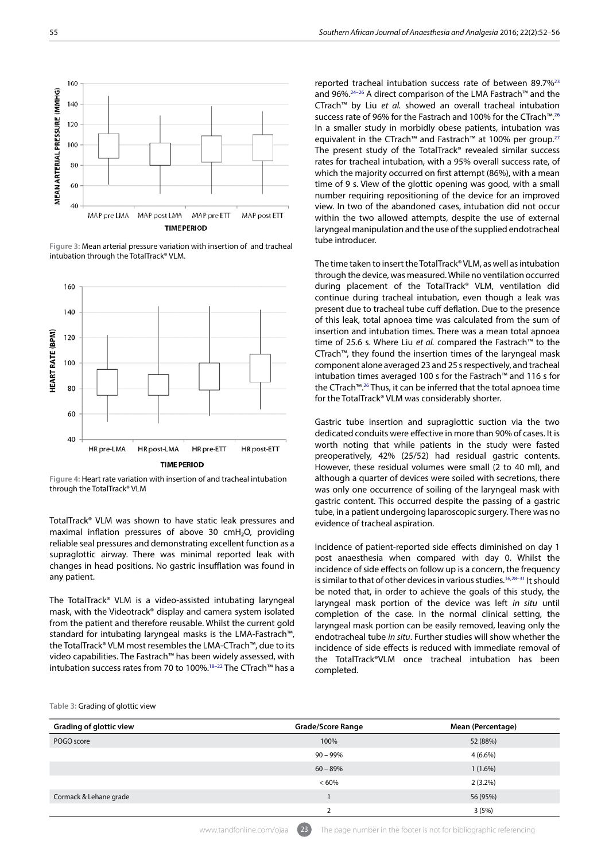

**Figure 3:** Mean arterial pressure variation with insertion of and tracheal intubation through the TotalTrack® VLM.



**Figure 4:** Heart rate variation with insertion of and tracheal intubation through the TotalTrack® VLM

TotalTrack® VLM was shown to have static leak pressures and maximal inflation pressures of above 30 cmH₂O, providing reliable seal pressures and demonstrating excellent function as a supraglottic airway. There was minimal reported leak with changes in head positions. No gastric insufflation was found in any patient.

The TotalTrack® VLM is a video-assisted intubating laryngeal mask, with the Videotrack® display and camera system isolated from the patient and therefore reusable. Whilst the current gold standard for intubating laryngeal masks is the LMA-Fastrach™, the TotalTrack® VLM most resembles the LMA-CTrach™, due to its video capabilities. The Fastrach™ has been widely assessed, with intubation success rates from 70 to 100%.18–22 The CTrach™ has a

reported tracheal intubation success rate of between 89.7%<sup>23</sup> and 96%.24–26 A direct comparison of the LMA Fastrach™ and the CTrach™ by Liu *et al.* showed an overall tracheal intubation success rate of 96% for the Fastrach and 100% for the CTrach™.26 In a smaller study in morbidly obese patients, intubation was equivalent in the CTrach™ and Fastrach™ at 100% per group.<sup>27</sup> The present study of the TotalTrack® revealed similar success rates for tracheal intubation, with a 95% overall success rate, of which the majority occurred on first attempt (86%), with a mean time of 9 s. View of the glottic opening was good, with a small number requiring repositioning of the device for an improved view. In two of the abandoned cases, intubation did not occur within the two allowed attempts, despite the use of external laryngeal manipulation and the use of the supplied endotracheal tube introducer.

The time taken to insert the TotalTrack® VLM, as well as intubation through the device, was measured. While no ventilation occurred during placement of the TotalTrack® VLM, ventilation did continue during tracheal intubation, even though a leak was present due to tracheal tube cuff deflation. Due to the presence of this leak, total apnoea time was calculated from the sum of insertion and intubation times. There was a mean total apnoea time of 25.6 s. Where Liu *et al.* compared the Fastrach™ to the CTrach™, they found the insertion times of the laryngeal mask component alone averaged 23 and 25 s respectively, and tracheal intubation times averaged 100 s for the Fastrach™ and 116 s for the CTrach™.26 Thus, it can be inferred that the total apnoea time for the TotalTrack® VLM was considerably shorter.

Gastric tube insertion and supraglottic suction via the two dedicated conduits were effective in more than 90% of cases. It is worth noting that while patients in the study were fasted preoperatively, 42% (25/52) had residual gastric contents. However, these residual volumes were small (2 to 40 ml), and although a quarter of devices were soiled with secretions, there was only one occurrence of soiling of the laryngeal mask with gastric content. This occurred despite the passing of a gastric tube, in a patient undergoing laparoscopic surgery. There was no evidence of tracheal aspiration.

Incidence of patient-reported side effects diminished on day 1 post anaesthesia when compared with day 0. Whilst the incidence of side effects on follow up is a concern, the frequency is similar to that of other devices in various studies.<sup>16,28-31</sup> It should be noted that, in order to achieve the goals of this study, the laryngeal mask portion of the device was left *in situ* until completion of the case. In the normal clinical setting, the laryngeal mask portion can be easily removed, leaving only the endotracheal tube *in situ*. Further studies will show whether the incidence of side effects is reduced with immediate removal of the TotalTrack®VLM once tracheal intubation has been completed.

#### **Table 3:** Grading of glottic view

| Grading of glottic view | <b>Grade/Score Range</b> | Mean (Percentage) |
|-------------------------|--------------------------|-------------------|
| POGO score              | 100%                     | 52 (88%)          |
|                         | $90 - 99%$               | $4(6.6\%)$        |
|                         | $60 - 89%$               | $1(1.6\%)$        |
|                         | $<60\%$                  | $2(3.2\%)$        |
| Cormack & Lehane grade  |                          | 56 (95%)          |
|                         |                          | 3(5%)             |